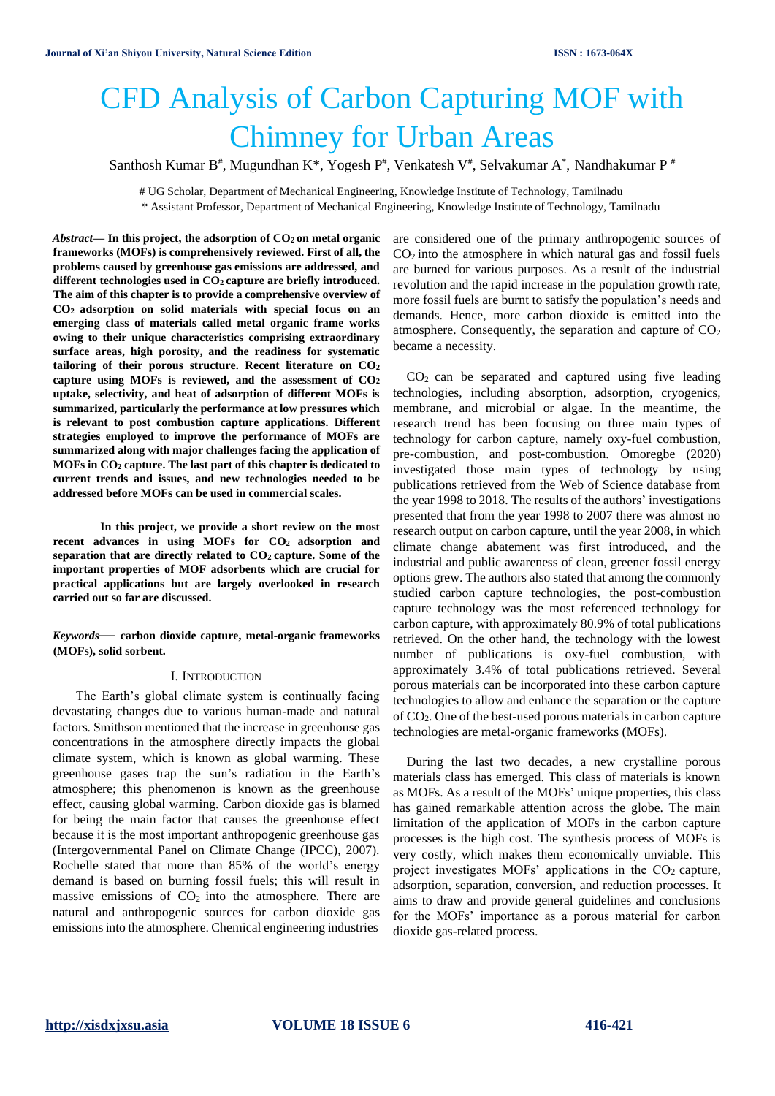# CFD Analysis of Carbon Capturing MOF with Chimney for Urban Areas

Santhosh Kumar B#, Mugundhan K\*, Yogesh P#, Venkatesh V#, Selvakumar A $^*$ , Nandhakumar P #

# UG Scholar, Department of Mechanical Engineering, Knowledge Institute of Technology, Tamilnadu \* Assistant Professor, Department of Mechanical Engineering, Knowledge Institute of Technology, Tamilnadu

*Abstract***— In this project, the adsorption of CO2 on metal organic frameworks (MOFs) is comprehensively reviewed. First of all, the problems caused by greenhouse gas emissions are addressed, and different technologies used in CO2 capture are briefly introduced. The aim of this chapter is to provide a comprehensive overview of CO<sup>2</sup> adsorption on solid materials with special focus on an emerging class of materials called metal organic frame works owing to their unique characteristics comprising extraordinary surface areas, high porosity, and the readiness for systematic tailoring of their porous structure. Recent literature on CO<sup>2</sup> capture using MOFs is reviewed, and the assessment of CO<sup>2</sup> uptake, selectivity, and heat of adsorption of different MOFs is summarized, particularly the performance at low pressures which is relevant to post combustion capture applications. Different strategies employed to improve the performance of MOFs are summarized along with major challenges facing the application of MOFs in CO<sup>2</sup> capture. The last part of this chapter is dedicated to current trends and issues, and new technologies needed to be addressed before MOFs can be used in commercial scales.**

**In this project, we provide a short review on the most recent advances in using MOFs for CO<sup>2</sup> adsorption and separation that are directly related to CO<sup>2</sup> capture. Some of the important properties of MOF adsorbents which are crucial for practical applications but are largely overlooked in research carried out so far are discussed.**

*Keywords*— **carbon dioxide capture, metal-organic frameworks (MOFs), solid sorbent.**

#### I. INTRODUCTION

The Earth's global climate system is continually facing devastating changes due to various human-made and natural factors. Smithson mentioned that the increase in greenhouse gas concentrations in the atmosphere directly impacts the global climate system, which is known as global warming. These greenhouse gases trap the sun's radiation in the Earth's atmosphere; this phenomenon is known as the greenhouse effect, causing global warming. Carbon dioxide gas is blamed for being the main factor that causes the greenhouse effect because it is the most important anthropogenic greenhouse gas (Intergovernmental Panel on Climate Change (IPCC), 2007). Rochelle stated that more than 85% of the world's energy demand is based on burning fossil fuels; this will result in massive emissions of  $CO<sub>2</sub>$  into the atmosphere. There are natural and anthropogenic sources for carbon dioxide gas emissions into the atmosphere. Chemical engineering industries

are considered one of the primary anthropogenic sources of  $CO<sub>2</sub>$  into the atmosphere in which natural gas and fossil fuels are burned for various purposes. As a result of the industrial revolution and the rapid increase in the population growth rate, more fossil fuels are burnt to satisfy the population's needs and demands. Hence, more carbon dioxide is emitted into the atmosphere. Consequently, the separation and capture of  $CO<sub>2</sub>$ became a necessity.

 $CO<sub>2</sub>$  can be separated and captured using five leading technologies, including absorption, adsorption, cryogenics, membrane, and microbial or algae. In the meantime, the research trend has been focusing on three main types of technology for carbon capture, namely oxy-fuel combustion, pre-combustion, and post-combustion. Omoregbe (2020) investigated those main types of technology by using publications retrieved from the Web of Science database from the year 1998 to 2018. The results of the authors' investigations presented that from the year 1998 to 2007 there was almost no research output on carbon capture, until the year 2008, in which climate change abatement was first introduced, and the industrial and public awareness of clean, greener fossil energy options grew. The authors also stated that among the commonly studied carbon capture technologies, the post-combustion capture technology was the most referenced technology for carbon capture, with approximately 80.9% of total publications retrieved. On the other hand, the technology with the lowest number of publications is oxy-fuel combustion, with approximately 3.4% of total publications retrieved. Several porous materials can be incorporated into these carbon capture technologies to allow and enhance the separation or the capture of CO2. One of the best-used porous materials in carbon capture technologies are metal-organic frameworks (MOFs).

During the last two decades, a new crystalline porous materials class has emerged. This class of materials is known as MOFs. As a result of the MOFs' unique properties, this class has gained remarkable attention across the globe. The main limitation of the application of MOFs in the carbon capture processes is the high cost. The synthesis process of MOFs is very costly, which makes them economically unviable. This project investigates MOFs' applications in the  $CO<sub>2</sub>$  capture, adsorption, separation, conversion, and reduction processes. It aims to draw and provide general guidelines and conclusions for the MOFs' importance as a porous material for carbon dioxide gas-related process.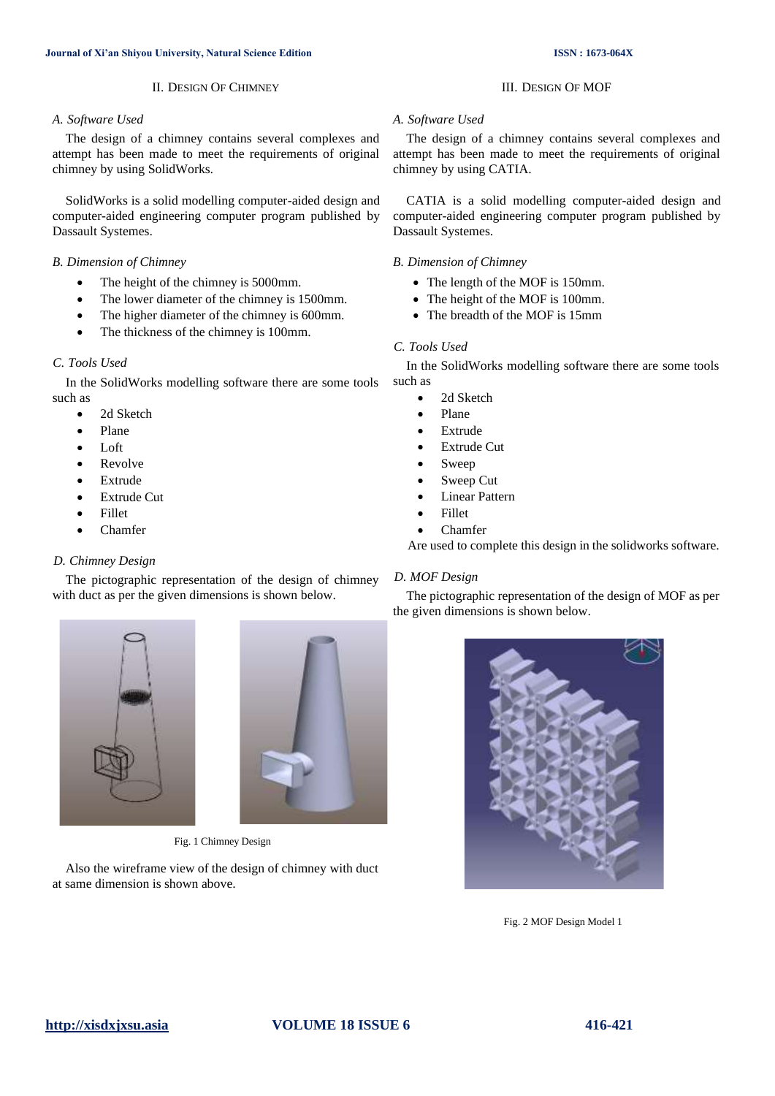# II. DESIGN OF CHIMNEY

### *A. Software Used*

The design of a chimney contains several complexes and attempt has been made to meet the requirements of original chimney by using SolidWorks.

SolidWorks is a solid modelling computer-aided design and computer-aided engineering computer program published by Dassault Systemes.

#### *B. Dimension of Chimney*

- The height of the chimney is 5000mm.
- The lower diameter of the chimney is 1500mm.
- The higher diameter of the chimney is 600mm.
- The thickness of the chimney is 100mm.

#### *C. Tools Used*

In the SolidWorks modelling software there are some tools such as

- 2d Sketch
- Plane
- Loft
- Revolve
- Extrude
- Extrude Cut
- Fillet
- Chamfer

# *D. Chimney Design*

The pictographic representation of the design of chimney with duct as per the given dimensions is shown below.





Fig. 1 Chimney Design

Also the wireframe view of the design of chimney with duct at same dimension is shown above.

### *A. Software Used*

The design of a chimney contains several complexes and attempt has been made to meet the requirements of original chimney by using CATIA.

III. DESIGN OF MOF

CATIA is a solid modelling computer-aided design and computer-aided engineering computer program published by Dassault Systemes.

#### *B. Dimension of Chimney*

- The length of the MOF is 150mm.
- The height of the MOF is 100mm.
- The breadth of the MOF is 15mm

#### *C. Tools Used*

In the SolidWorks modelling software there are some tools such as

- 2d Sketch
- Plane
- **Extrude**
- **Extrude Cut**
- **Sweep**
- Sweep Cut
- **Linear Pattern**
- Fillet
- Chamfer

Are used to complete this design in the solidworks software.

# *D. MOF Design*

The pictographic representation of the design of MOF as per the given dimensions is shown below.



Fig. 2 MOF Design Model 1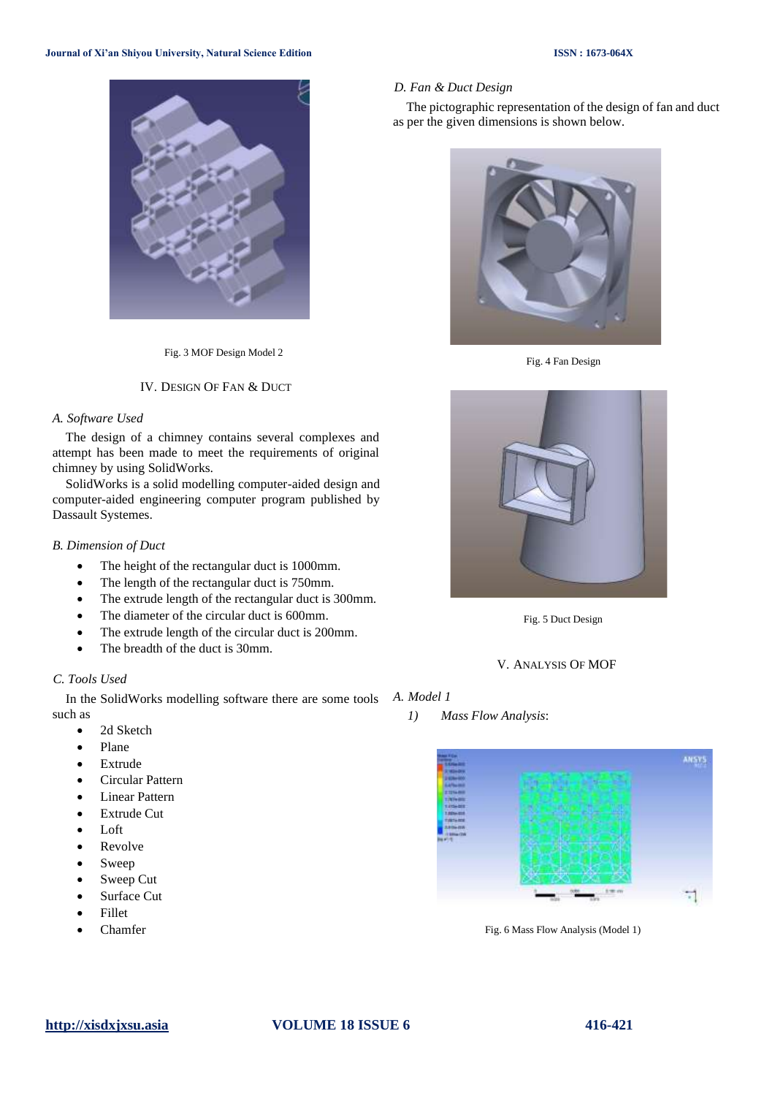# **Journal of Xi'an Shiyou University, Natural Science Edition ISSN : 1673-064X**



Fig. 3 MOF Design Model 2

#### IV. DESIGN OF FAN & DUCT

#### *A. Software Used*

The design of a chimney contains several complexes and attempt has been made to meet the requirements of original chimney by using SolidWorks.

SolidWorks is a solid modelling computer-aided design and computer-aided engineering computer program published by Dassault Systemes.

#### *B. Dimension of Duct*

- The height of the rectangular duct is 1000mm.
- The length of the rectangular duct is 750mm.
- The extrude length of the rectangular duct is 300mm.
- The diameter of the circular duct is 600mm.
- The extrude length of the circular duct is 200mm.
- The breadth of the duct is 30mm.

# *C. Tools Used*

In the SolidWorks modelling software there are some tools *A. Model 1* such as

- 2d Sketch
- Plane
- Extrude
- Circular Pattern
- Linear Pattern
- Extrude Cut
- Loft
- Revolve
- Sweep
- Sweep Cut
- Surface Cut
- Fillet
- Chamfer



The pictographic representation of the design of fan and duct as per the given dimensions is shown below.



Fig. 4 Fan Design



Fig. 5 Duct Design

V. ANALYSIS OF MOF

*1) Mass Flow Analysis*:



Fig. 6 Mass Flow Analysis (Model 1)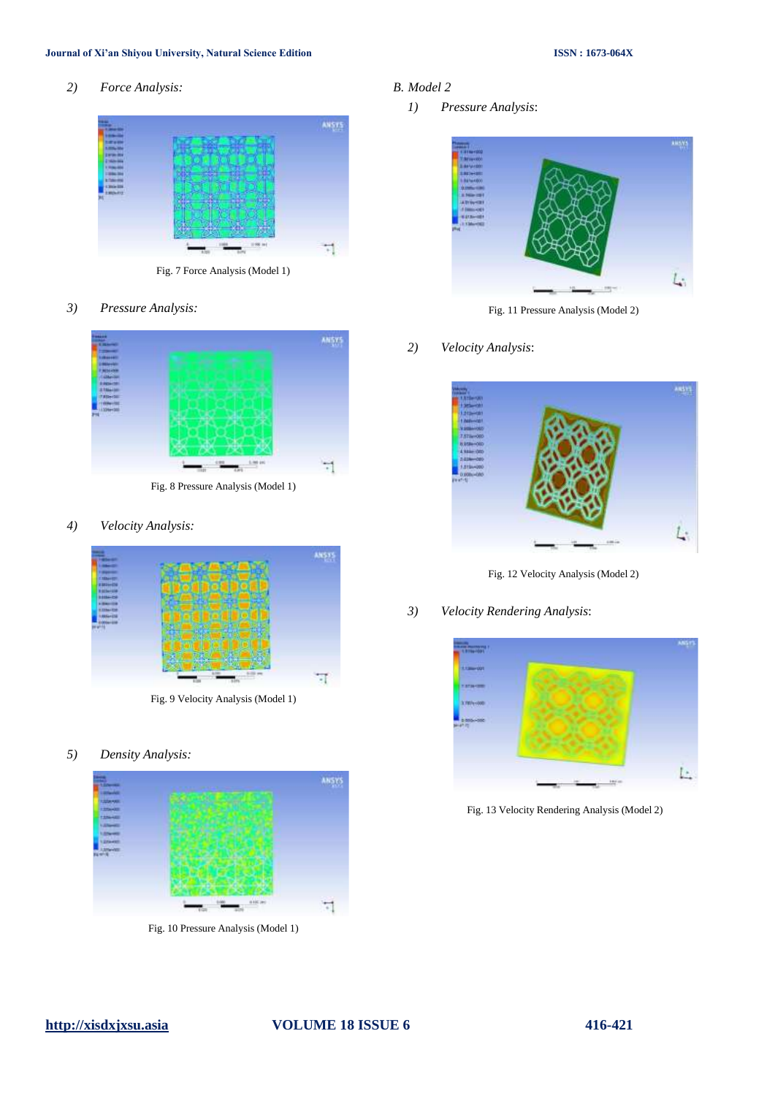# **Journal of Xi'an Shiyou University, Natural Science Edition ISSN : 1673-064X**

*2) Force Analysis:*



Fig. 7 Force Analysis (Model 1)

*3) Pressure Analysis:*



Fig. 8 Pressure Analysis (Model 1)

*4) Velocity Analysis:*



Fig. 9 Velocity Analysis (Model 1)

*5) Density Analysis:*



Fig. 10 Pressure Analysis (Model 1)

- *B. Model 2*
	- *1) Pressure Analysis*:



Fig. 11 Pressure Analysis (Model 2)

# *2) Velocity Analysis*:



Fig. 12 Velocity Analysis (Model 2)

*3) Velocity Rendering Analysis*:



Fig. 13 Velocity Rendering Analysis (Model 2)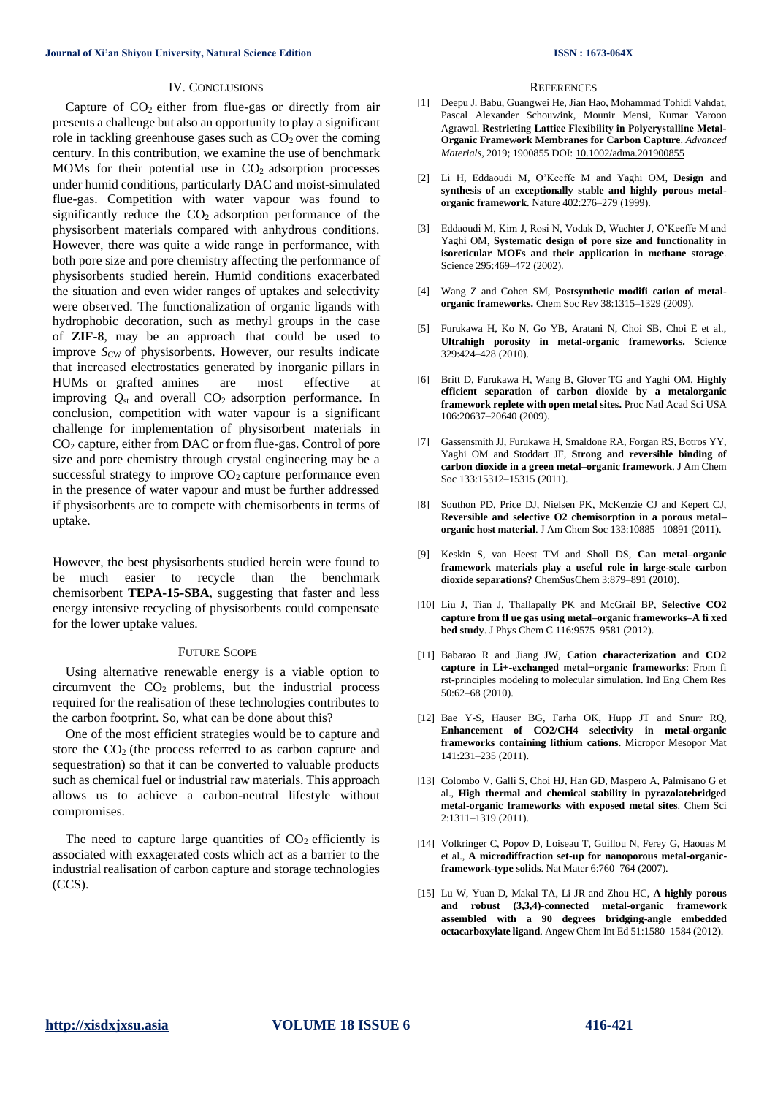#### IV. CONCLUSIONS

Capture of  $CO<sub>2</sub>$  either from flue-gas or directly from air presents a challenge but also an opportunity to play a significant role in tackling greenhouse gases such as  $CO<sub>2</sub>$  over the coming century. In this contribution, we examine the use of benchmark MOMs for their potential use in  $CO<sub>2</sub>$  adsorption processes under humid conditions, particularly DAC and moist-simulated flue-gas. Competition with water vapour was found to significantly reduce the  $CO<sub>2</sub>$  adsorption performance of the physisorbent materials compared with anhydrous conditions. However, there was quite a wide range in performance, with both pore size and pore chemistry affecting the performance of physisorbents studied herein. Humid conditions exacerbated the situation and even wider ranges of uptakes and selectivity were observed. The functionalization of organic ligands with hydrophobic decoration, such as methyl groups in the case of **ZIF-8**, may be an approach that could be used to improve *S*<sub>CW</sub> of physisorbents. However, our results indicate that increased electrostatics generated by inorganic pillars in HUMs or grafted amines are most effective at improving  $Q_{st}$  and overall  $CO_2$  adsorption performance. In conclusion, competition with water vapour is a significant challenge for implementation of physisorbent materials in CO<sup>2</sup> capture, either from DAC or from flue-gas. Control of pore size and pore chemistry through crystal engineering may be a successful strategy to improve  $CO<sub>2</sub>$  capture performance even in the presence of water vapour and must be further addressed if physisorbents are to compete with chemisorbents in terms of uptake.

However, the best physisorbents studied herein were found to be much easier to recycle than the benchmark chemisorbent **TEPA-15-SBA**, suggesting that faster and less energy intensive recycling of physisorbents could compensate for the lower uptake values.

#### FUTURE SCOPE

Using alternative renewable energy is a viable option to circumvent the  $CO<sub>2</sub>$  problems, but the industrial process required for the realisation of these technologies contributes to the carbon footprint. So, what can be done about this?

One of the most efficient strategies would be to capture and store the  $CO<sub>2</sub>$  (the process referred to as carbon capture and sequestration) so that it can be converted to valuable products such as chemical fuel or industrial raw materials. This approach allows us to achieve a carbon-neutral lifestyle without compromises.

The need to capture large quantities of  $CO<sub>2</sub>$  efficiently is associated with exxagerated costs which act as a barrier to the industrial realisation of carbon capture and storage technologies (CCS).

#### **REFERENCES**

- [1] Deepu J. Babu, Guangwei He, Jian Hao, Mohammad Tohidi Vahdat, Pascal Alexander Schouwink, Mounir Mensi, Kumar Varoon Agrawal. **Restricting Lattice Flexibility in Polycrystalline Metal‐ Organic Framework Membranes for Carbon Capture**. *Advanced Materials*, 2019; 1900855 DOI: [10.1002/adma.201900855](http://dx.doi.org/10.1002/adma.201900855)
- [2] Li H, Eddaoudi M, O'Keeffe M and Yaghi OM, **Design and synthesis of an exceptionally stable and highly porous metalorganic framework**. Nature 402:276–279 (1999).
- [3] Eddaoudi M, Kim J, Rosi N, Vodak D, Wachter J, O'Keeffe M and Yaghi OM, **Systematic design of pore size and functionality in isoreticular MOFs and their application in methane storage**. Science 295:469–472 (2002).
- [4] Wang Z and Cohen SM, **Postsynthetic modifi cation of metalorganic frameworks.** Chem Soc Rev 38:1315–1329 (2009).
- [5] Furukawa H, Ko N, Go YB, Aratani N, Choi SB, Choi E et al., **Ultrahigh porosity in metal-organic frameworks.** Science 329:424–428 (2010).
- [6] Britt D, Furukawa H, Wang B, Glover TG and Yaghi OM, **Highly efficient separation of carbon dioxide by a metalorganic framework replete with open metal sites.** Proc Natl Acad Sci USA 106:20637–20640 (2009).
- [7] Gassensmith JJ, Furukawa H, Smaldone RA, Forgan RS, Botros YY, Yaghi OM and Stoddart JF, **Strong and reversible binding of carbon dioxide in a green metal–organic framework**. J Am Chem Soc 133:15312–15315 (2011).
- [8] Southon PD, Price DJ, Nielsen PK, McKenzie CJ and Kepert CJ, **Reversible and selective O2 chemisorption in a porous metal– organic host material**. J Am Chem Soc 133:10885– 10891 (2011).
- [9] Keskin S, van Heest TM and Sholl DS, **Can metal–organic framework materials play a useful role in large-scale carbon dioxide separations?** ChemSusChem 3:879–891 (2010).
- [10] Liu J, Tian J, Thallapally PK and McGrail BP, **Selective CO2 capture from fl ue gas using metal–organic frameworks–A fi xed bed study**. J Phys Chem C 116:9575–9581 (2012).
- [11] Babarao R and Jiang JW, **Cation characterization and CO2 capture in Li+-exchanged metal−organic frameworks**: From fi rst-principles modeling to molecular simulation. Ind Eng Chem Res 50:62–68 (2010).
- [12] Bae Y-S, Hauser BG, Farha OK, Hupp JT and Snurr RQ, **Enhancement of CO2/CH4 selectivity in metal-organic frameworks containing lithium cations**. Micropor Mesopor Mat 141:231–235 (2011).
- [13] Colombo V, Galli S, Choi HJ, Han GD, Maspero A, Palmisano G et al., **High thermal and chemical stability in pyrazolatebridged metal-organic frameworks with exposed metal sites**. Chem Sci 2:1311–1319 (2011).
- [14] Volkringer C, Popov D, Loiseau T, Guillou N, Ferey G, Haouas M et al., **A microdiffraction set-up for nanoporous metal-organicframework-type solids**. Nat Mater 6:760–764 (2007).
- [15] Lu W, Yuan D, Makal TA, Li JR and Zhou HC, **A highly porous and robust (3,3,4)-connected metal-organic framework assembled with a 90 degrees bridging-angle embedded octacarboxylate ligand**. Angew Chem Int Ed 51:1580–1584 (2012).